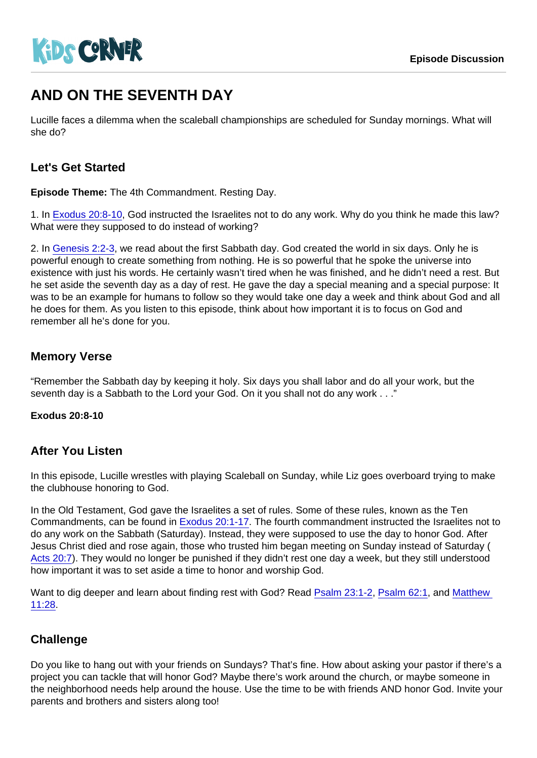# AND ON THE SEVENTH DAY

Lucille faces a dilemma when the scaleball championships are scheduled for Sunday mornings. What will she do?

## Let's Get Started

Episode Theme: The 4th Commandment. Resting Day.

1. In [Exodus 20:8-10,](https://www.biblegateway.com/passage/?search=Exodus+20:8-10) God instructed the Israelites not to do any work. Why do you think he made this law? What were they supposed to do instead of working?

2. In [Genesis 2:2-3,](https://www.biblegateway.com/passage/?search=Genesis+2:2-3) we read about the first Sabbath day. God created the world in six days. Only he is powerful enough to create something from nothing. He is so powerful that he spoke the universe into existence with just his words. He certainly wasn't tired when he was finished, and he didn't need a rest. But he set aside the seventh day as a day of rest. He gave the day a special meaning and a special purpose: It was to be an example for humans to follow so they would take one day a week and think about God and all he does for them. As you listen to this episode, think about how important it is to focus on God and remember all he's done for you.

## Memory Verse

"Remember the Sabbath day by keeping it holy. Six days you shall labor and do all your work, but the seventh day is a Sabbath to the Lord your God. On it you shall not do any work . . ."

Exodus 20:8-10

#### After You Listen

In this episode, Lucille wrestles with playing Scaleball on Sunday, while Liz goes overboard trying to make the clubhouse honoring to God.

In the Old Testament, God gave the Israelites a set of rules. Some of these rules, known as the Ten Commandments, can be found in [Exodus 20:1-17](https://www.biblegateway.com/passage/?search=Exodus+20:1-17). The fourth commandment instructed the Israelites not to do any work on the Sabbath (Saturday). Instead, they were supposed to use the day to honor God. After Jesus Christ died and rose again, those who trusted him began meeting on Sunday instead of Saturday ( [Acts 20:7\)](https://www.biblegateway.com/passage/?search=Acts+20:7). They would no longer be punished if they didn't rest one day a week, but they still understood how important it was to set aside a time to honor and worship God.

Want to dig deeper and learn about finding rest with God? Read [Psalm 23:1-2](https://www.biblegateway.com/passage/?search=Psalm+23:1-2), [Psalm 62:1](https://www.biblegateway.com/passage/?search=Psalm+62:1), and [Matthew](https://www.biblegateway.com/passage/?search=Matthew+11:28)  [11:28.](https://www.biblegateway.com/passage/?search=Matthew+11:28)

#### **Challenge**

Do you like to hang out with your friends on Sundays? That's fine. How about asking your pastor if there's a project you can tackle that will honor God? Maybe there's work around the church, or maybe someone in the neighborhood needs help around the house. Use the time to be with friends AND honor God. Invite your parents and brothers and sisters along too!